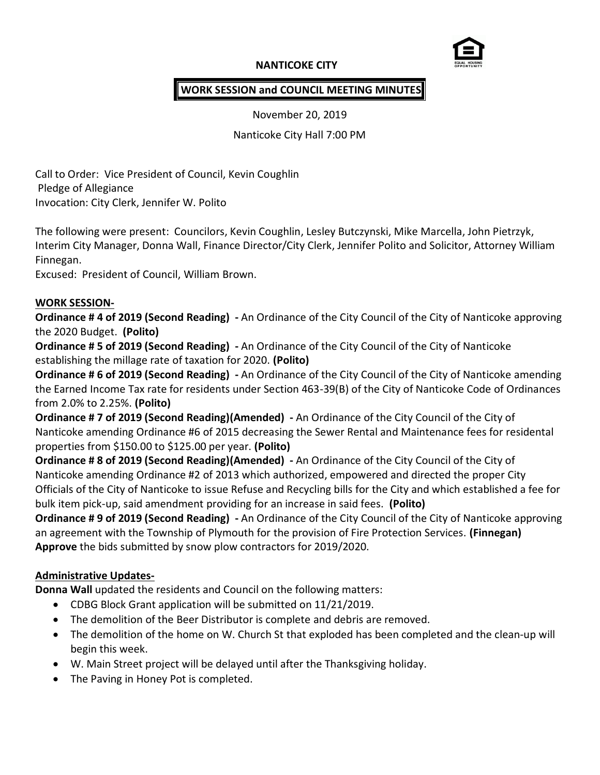## **NANTICOKE CITY**



## **WORK SESSION and COUNCIL MEETING MINUTES**

November 20, 2019

Nanticoke City Hall 7:00 PM

Call to Order: Vice President of Council, Kevin Coughlin Pledge of Allegiance Invocation: City Clerk, Jennifer W. Polito

The following were present: Councilors, Kevin Coughlin, Lesley Butczynski, Mike Marcella, John Pietrzyk, Interim City Manager, Donna Wall, Finance Director/City Clerk, Jennifer Polito and Solicitor, Attorney William Finnegan.

Excused: President of Council, William Brown.

#### **WORK SESSION-**

**Ordinance # 4 of 2019 (Second Reading) -** An Ordinance of the City Council of the City of Nanticoke approving the 2020 Budget. **(Polito)**

**Ordinance # 5 of 2019 (Second Reading) -** An Ordinance of the City Council of the City of Nanticoke establishing the millage rate of taxation for 2020. **(Polito)**

**Ordinance # 6 of 2019 (Second Reading) -** An Ordinance of the City Council of the City of Nanticoke amending the Earned Income Tax rate for residents under Section 463-39(B) of the City of Nanticoke Code of Ordinances from 2.0% to 2.25%. **(Polito)**

**Ordinance # 7 of 2019 (Second Reading)(Amended) -** An Ordinance of the City Council of the City of Nanticoke amending Ordinance #6 of 2015 decreasing the Sewer Rental and Maintenance fees for residental properties from \$150.00 to \$125.00 per year. **(Polito)**

**Ordinance # 8 of 2019 (Second Reading)(Amended) -** An Ordinance of the City Council of the City of Nanticoke amending Ordinance #2 of 2013 which authorized, empowered and directed the proper City Officials of the City of Nanticoke to issue Refuse and Recycling bills for the City and which established a fee for bulk item pick-up, said amendment providing for an increase in said fees. **(Polito)**

**Ordinance # 9 of 2019 (Second Reading) -** An Ordinance of the City Council of the City of Nanticoke approving an agreement with the Township of Plymouth for the provision of Fire Protection Services. **(Finnegan) Approve** the bids submitted by snow plow contractors for 2019/2020.

### **Administrative Updates-**

**Donna Wall** updated the residents and Council on the following matters:

- CDBG Block Grant application will be submitted on 11/21/2019.
- The demolition of the Beer Distributor is complete and debris are removed.
- The demolition of the home on W. Church St that exploded has been completed and the clean-up will begin this week.
- W. Main Street project will be delayed until after the Thanksgiving holiday.
- The Paving in Honey Pot is completed.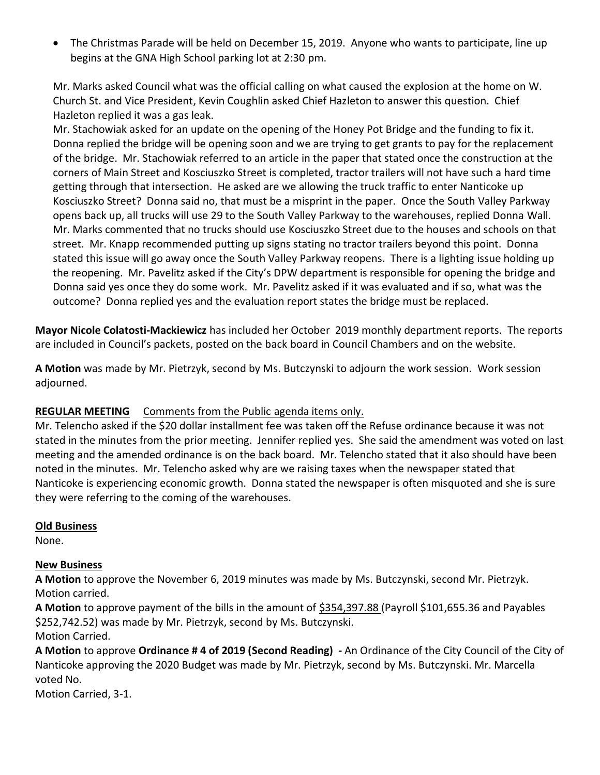The Christmas Parade will be held on December 15, 2019. Anyone who wants to participate, line up begins at the GNA High School parking lot at 2:30 pm.

Mr. Marks asked Council what was the official calling on what caused the explosion at the home on W. Church St. and Vice President, Kevin Coughlin asked Chief Hazleton to answer this question. Chief Hazleton replied it was a gas leak.

Mr. Stachowiak asked for an update on the opening of the Honey Pot Bridge and the funding to fix it. Donna replied the bridge will be opening soon and we are trying to get grants to pay for the replacement of the bridge. Mr. Stachowiak referred to an article in the paper that stated once the construction at the corners of Main Street and Kosciuszko Street is completed, tractor trailers will not have such a hard time getting through that intersection. He asked are we allowing the truck traffic to enter Nanticoke up Kosciuszko Street? Donna said no, that must be a misprint in the paper. Once the South Valley Parkway opens back up, all trucks will use 29 to the South Valley Parkway to the warehouses, replied Donna Wall. Mr. Marks commented that no trucks should use Kosciuszko Street due to the houses and schools on that street. Mr. Knapp recommended putting up signs stating no tractor trailers beyond this point. Donna stated this issue will go away once the South Valley Parkway reopens. There is a lighting issue holding up the reopening. Mr. Pavelitz asked if the City's DPW department is responsible for opening the bridge and Donna said yes once they do some work. Mr. Pavelitz asked if it was evaluated and if so, what was the outcome? Donna replied yes and the evaluation report states the bridge must be replaced.

**Mayor Nicole Colatosti-Mackiewicz** has included her October 2019 monthly department reports. The reports are included in Council's packets, posted on the back board in Council Chambers and on the website.

**A Motion** was made by Mr. Pietrzyk, second by Ms. Butczynski to adjourn the work session. Work session adjourned.

### **REGULAR MEETING** Comments from the Public agenda items only.

Mr. Telencho asked if the \$20 dollar installment fee was taken off the Refuse ordinance because it was not stated in the minutes from the prior meeting. Jennifer replied yes. She said the amendment was voted on last meeting and the amended ordinance is on the back board. Mr. Telencho stated that it also should have been noted in the minutes. Mr. Telencho asked why are we raising taxes when the newspaper stated that Nanticoke is experiencing economic growth. Donna stated the newspaper is often misquoted and she is sure they were referring to the coming of the warehouses.

#### **Old Business**

None.

### **New Business**

**A Motion** to approve the November 6, 2019 minutes was made by Ms. Butczynski, second Mr. Pietrzyk. Motion carried.

**A Motion** to approve payment of the bills in the amount of \$354,397.88 (Payroll \$101,655.36 and Payables \$252,742.52) was made by Mr. Pietrzyk, second by Ms. Butczynski. Motion Carried.

**A Motion** to approve **Ordinance # 4 of 2019 (Second Reading) -** An Ordinance of the City Council of the City of Nanticoke approving the 2020 Budget was made by Mr. Pietrzyk, second by Ms. Butczynski. Mr. Marcella voted No.

Motion Carried, 3-1.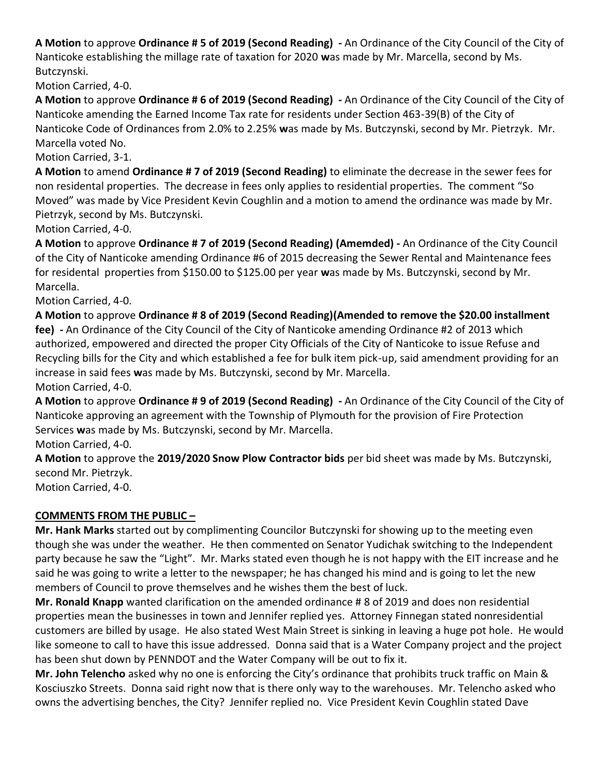**A Motion** to approve **Ordinance # 5 of 2019 (Second Reading) -** An Ordinance of the City Council of the City of Nanticoke establishing the millage rate of taxation for 2020 **w**as made by Mr. Marcella, second by Ms. Butczynski.

Motion Carried, 4-0.

**A Motion** to approve **Ordinance # 6 of 2019 (Second Reading) -** An Ordinance of the City Council of the City of Nanticoke amending the Earned Income Tax rate for residents under Section 463-39(B) of the City of Nanticoke Code of Ordinances from 2.0% to 2.25% **w**as made by Ms. Butczynski, second by Mr. Pietrzyk. Mr. Marcella voted No.

Motion Carried, 3-1.

**A Motion** to amend **Ordinance # 7 of 2019 (Second Reading)** to eliminate the decrease in the sewer fees for non residental properties. The decrease in fees only applies to residential properties. The comment "So Moved" was made by Vice President Kevin Coughlin and a motion to amend the ordinance was made by Mr. Pietrzyk, second by Ms. Butczynski.

Motion Carried, 4-0.

**A Motion** to approve **Ordinance # 7 of 2019 (Second Reading) (Amemded) -** An Ordinance of the City Council of the City of Nanticoke amending Ordinance #6 of 2015 decreasing the Sewer Rental and Maintenance fees for residental properties from \$150.00 to \$125.00 per year **w**as made by Ms. Butczynski, second by Mr. Marcella.

Motion Carried, 4-0.

**A Motion** to approve **Ordinance # 8 of 2019 (Second Reading)(Amended to remove the \$20.00 installment fee) -** An Ordinance of the City Council of the City of Nanticoke amending Ordinance #2 of 2013 which authorized, empowered and directed the proper City Officials of the City of Nanticoke to issue Refuse and Recycling bills for the City and which established a fee for bulk item pick-up, said amendment providing for an increase in said fees **w**as made by Ms. Butczynski, second by Mr. Marcella. Motion Carried, 4-0.

**A Motion** to approve **Ordinance # 9 of 2019 (Second Reading) -** An Ordinance of the City Council of the City of Nanticoke approving an agreement with the Township of Plymouth for the provision of Fire Protection Services **w**as made by Ms. Butczynski, second by Mr. Marcella.

Motion Carried, 4-0.

**A Motion** to approve the **2019/2020 Snow Plow Contractor bids** per bid sheet was made by Ms. Butczynski, second Mr. Pietrzyk.

Motion Carried, 4-0.

# **COMMENTS FROM THE PUBLIC –**

**Mr. Hank Marks** started out by complimenting Councilor Butczynski for showing up to the meeting even though she was under the weather. He then commented on Senator Yudichak switching to the Independent party because he saw the "Light". Mr. Marks stated even though he is not happy with the EIT increase and he said he was going to write a letter to the newspaper; he has changed his mind and is going to let the new members of Council to prove themselves and he wishes them the best of luck.

**Mr. Ronald Knapp** wanted clarification on the amended ordinance # 8 of 2019 and does non residential properties mean the businesses in town and Jennifer replied yes. Attorney Finnegan stated nonresidential customers are billed by usage. He also stated West Main Street is sinking in leaving a huge pot hole. He would like someone to call to have this issue addressed. Donna said that is a Water Company project and the project has been shut down by PENNDOT and the Water Company will be out to fix it.

**Mr. John Telencho** asked why no one is enforcing the City's ordinance that prohibits truck traffic on Main & Kosciuszko Streets. Donna said right now that is there only way to the warehouses. Mr. Telencho asked who owns the advertising benches, the City? Jennifer replied no. Vice President Kevin Coughlin stated Dave